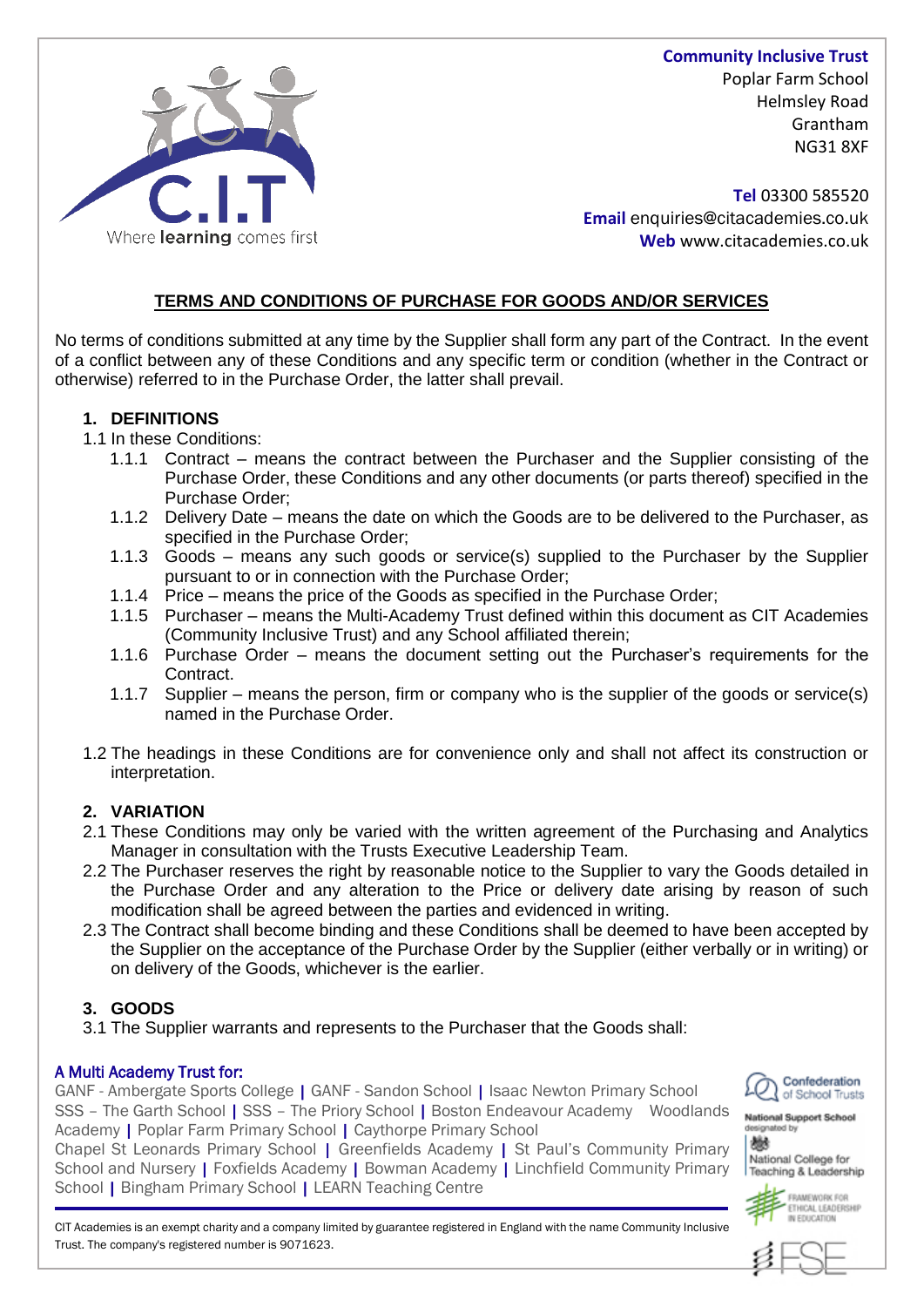

**Community Inclusive Trust** Poplar Farm School Helmsley Road Grantham NG31 8XF

**Tel** 03300 585520 **Email** enquiries@citacademies.co.uk **Web** www.citacademies.co.uk

# **TERMS AND CONDITIONS OF PURCHASE FOR GOODS AND/OR SERVICES**

No terms of conditions submitted at any time by the Supplier shall form any part of the Contract. In the event of a conflict between any of these Conditions and any specific term or condition (whether in the Contract or otherwise) referred to in the Purchase Order, the latter shall prevail.

### **1. DEFINITIONS**

1.1 In these Conditions:

- 1.1.1 Contract means the contract between the Purchaser and the Supplier consisting of the Purchase Order, these Conditions and any other documents (or parts thereof) specified in the Purchase Order;
- 1.1.2 Delivery Date means the date on which the Goods are to be delivered to the Purchaser, as specified in the Purchase Order;
- 1.1.3 Goods means any such goods or service(s) supplied to the Purchaser by the Supplier pursuant to or in connection with the Purchase Order;
- 1.1.4 Price means the price of the Goods as specified in the Purchase Order;
- 1.1.5 Purchaser means the Multi-Academy Trust defined within this document as CIT Academies (Community Inclusive Trust) and any School affiliated therein;
- 1.1.6 Purchase Order means the document setting out the Purchaser's requirements for the Contract.
- 1.1.7 Supplier means the person, firm or company who is the supplier of the goods or service(s) named in the Purchase Order.
- 1.2 The headings in these Conditions are for convenience only and shall not affect its construction or interpretation.

## **2. VARIATION**

- 2.1 These Conditions may only be varied with the written agreement of the Purchasing and Analytics Manager in consultation with the Trusts Executive Leadership Team.
- 2.2 The Purchaser reserves the right by reasonable notice to the Supplier to vary the Goods detailed in the Purchase Order and any alteration to the Price or delivery date arising by reason of such modification shall be agreed between the parties and evidenced in writing.
- 2.3 The Contract shall become binding and these Conditions shall be deemed to have been accepted by the Supplier on the acceptance of the Purchase Order by the Supplier (either verbally or in writing) or on delivery of the Goods, whichever is the earlier.

## **3. GOODS**

3.1 The Supplier warrants and represents to the Purchaser that the Goods shall:

## A Multi Academy Trust for:

GANF - Ambergate Sports College | GANF - Sandon School | Isaac Newton Primary School SSS – The Garth School | SSS – The Priory School | Boston Endeavour Academy Woodlands Academy | Poplar Farm Primary School | Caythorpe Primary School

Chapel St Leonards Primary School | Greenfields Academy | St Paul's Community Primary School and Nursery | Foxfields Academy | Bowman Academy | Linchfield Community Primary School | Bingham Primary School | LEARN Teaching Centre



**National Support School** 鬱

National College for Teaching & Leadership



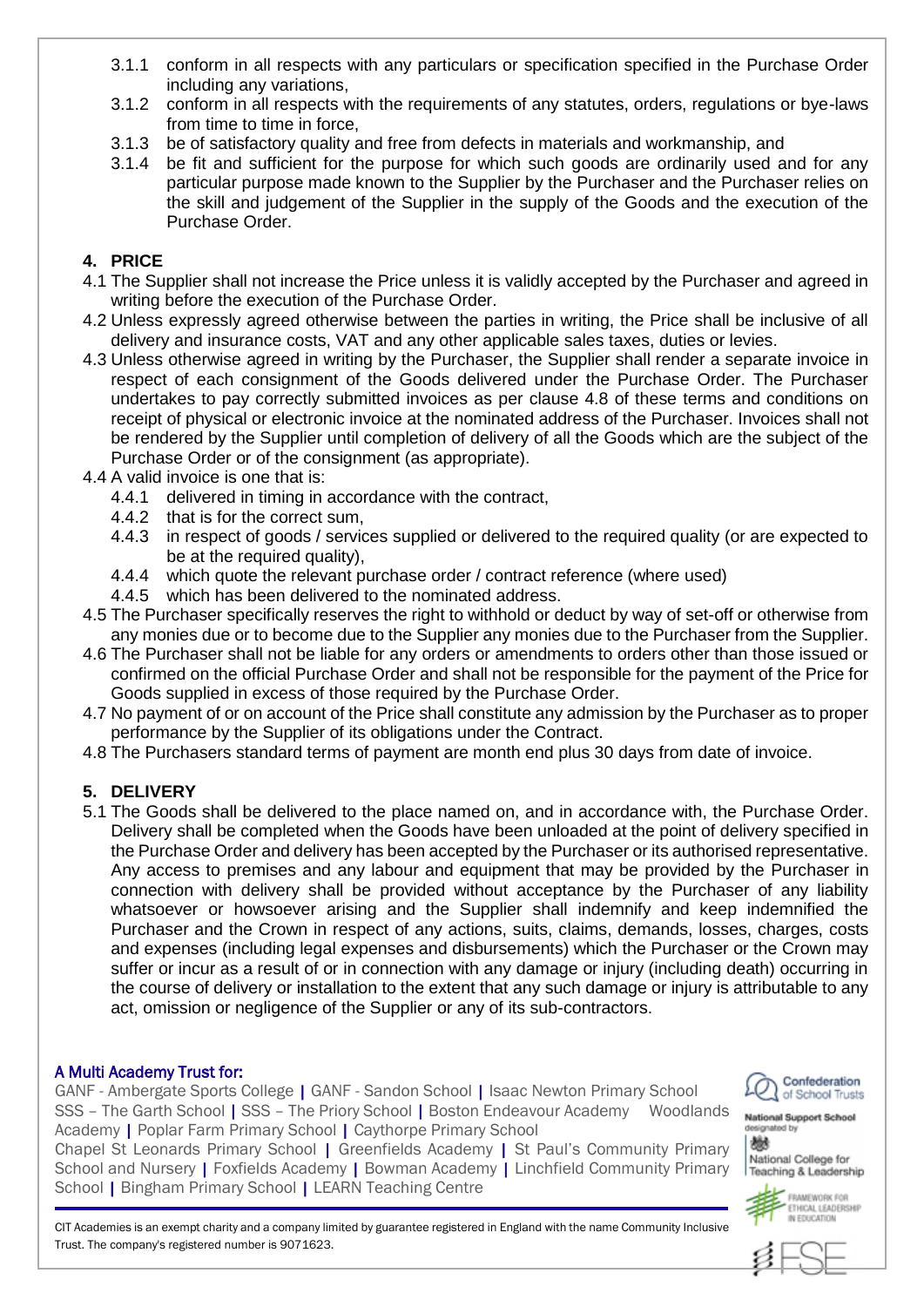- 3.1.1 conform in all respects with any particulars or specification specified in the Purchase Order including any variations,
- 3.1.2 conform in all respects with the requirements of any statutes, orders, regulations or bye-laws from time to time in force,
- 3.1.3 be of satisfactory quality and free from defects in materials and workmanship, and
- 3.1.4 be fit and sufficient for the purpose for which such goods are ordinarily used and for any particular purpose made known to the Supplier by the Purchaser and the Purchaser relies on the skill and judgement of the Supplier in the supply of the Goods and the execution of the Purchase Order.

## **4. PRICE**

- 4.1 The Supplier shall not increase the Price unless it is validly accepted by the Purchaser and agreed in writing before the execution of the Purchase Order.
- 4.2 Unless expressly agreed otherwise between the parties in writing, the Price shall be inclusive of all delivery and insurance costs, VAT and any other applicable sales taxes, duties or levies.
- 4.3 Unless otherwise agreed in writing by the Purchaser, the Supplier shall render a separate invoice in respect of each consignment of the Goods delivered under the Purchase Order. The Purchaser undertakes to pay correctly submitted invoices as per clause 4.8 of these terms and conditions on receipt of physical or electronic invoice at the nominated address of the Purchaser. Invoices shall not be rendered by the Supplier until completion of delivery of all the Goods which are the subject of the Purchase Order or of the consignment (as appropriate).
- 4.4 A valid invoice is one that is:
	- 4.4.1 delivered in timing in accordance with the contract,
	- 4.4.2 that is for the correct sum,
	- 4.4.3 in respect of goods / services supplied or delivered to the required quality (or are expected to be at the required quality),
	- 4.4.4 which quote the relevant purchase order / contract reference (where used)
	- 4.4.5 which has been delivered to the nominated address.
- 4.5 The Purchaser specifically reserves the right to withhold or deduct by way of set-off or otherwise from any monies due or to become due to the Supplier any monies due to the Purchaser from the Supplier.
- 4.6 The Purchaser shall not be liable for any orders or amendments to orders other than those issued or confirmed on the official Purchase Order and shall not be responsible for the payment of the Price for Goods supplied in excess of those required by the Purchase Order.
- 4.7 No payment of or on account of the Price shall constitute any admission by the Purchaser as to proper performance by the Supplier of its obligations under the Contract.
- 4.8 The Purchasers standard terms of payment are month end plus 30 days from date of invoice.

# **5. DELIVERY**

5.1 The Goods shall be delivered to the place named on, and in accordance with, the Purchase Order. Delivery shall be completed when the Goods have been unloaded at the point of delivery specified in the Purchase Order and delivery has been accepted by the Purchaser or its authorised representative. Any access to premises and any labour and equipment that may be provided by the Purchaser in connection with delivery shall be provided without acceptance by the Purchaser of any liability whatsoever or howsoever arising and the Supplier shall indemnify and keep indemnified the Purchaser and the Crown in respect of any actions, suits, claims, demands, losses, charges, costs and expenses (including legal expenses and disbursements) which the Purchaser or the Crown may suffer or incur as a result of or in connection with any damage or injury (including death) occurring in the course of delivery or installation to the extent that any such damage or injury is attributable to any act, omission or negligence of the Supplier or any of its sub-contractors.

## A Multi Academy Trust for:

GANF - Ambergate Sports College | GANF - Sandon School | Isaac Newton Primary School SSS – The Garth School | SSS – The Priory School | Boston Endeavour Academy Woodlands Academy | Poplar Farm Primary School | Caythorpe Primary School

Chapel St Leonards Primary School | Greenfields Academy | St Paul's Community Primary School and Nursery | Foxfields Academy | Bowman Academy | Linchfield Community Primary School | Bingham Primary School | LEARN Teaching Centre



**National Support School** ignated by 鬱



FRAMEWORK FOR ETHICAL LEADERSHIP IN FOUCATION

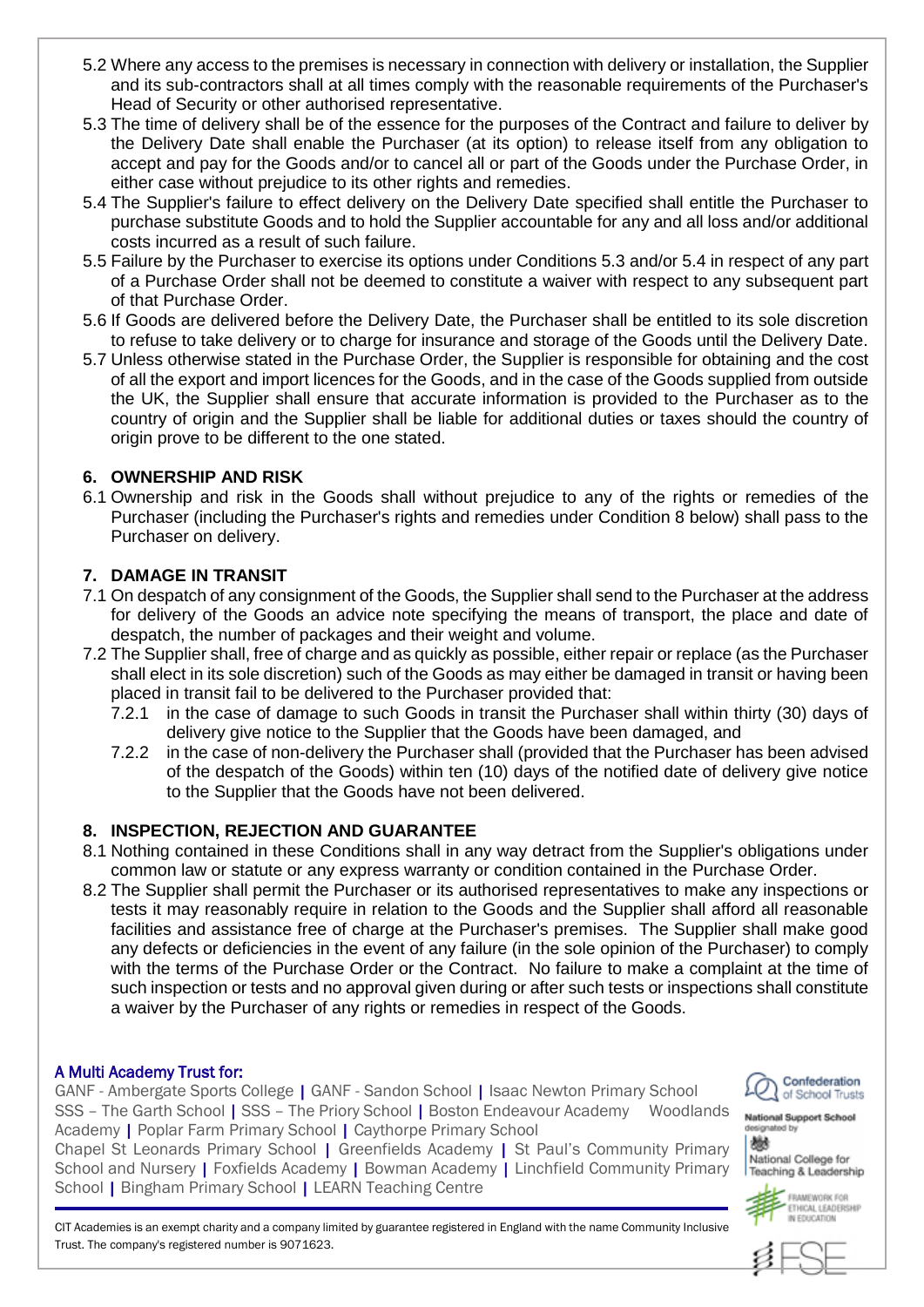- 5.2 Where any access to the premises is necessary in connection with delivery or installation, the Supplier and its sub-contractors shall at all times comply with the reasonable requirements of the Purchaser's Head of Security or other authorised representative.
- 5.3 The time of delivery shall be of the essence for the purposes of the Contract and failure to deliver by the Delivery Date shall enable the Purchaser (at its option) to release itself from any obligation to accept and pay for the Goods and/or to cancel all or part of the Goods under the Purchase Order, in either case without prejudice to its other rights and remedies.
- 5.4 The Supplier's failure to effect delivery on the Delivery Date specified shall entitle the Purchaser to purchase substitute Goods and to hold the Supplier accountable for any and all loss and/or additional costs incurred as a result of such failure.
- 5.5 Failure by the Purchaser to exercise its options under Conditions 5.3 and/or 5.4 in respect of any part of a Purchase Order shall not be deemed to constitute a waiver with respect to any subsequent part of that Purchase Order.
- 5.6 If Goods are delivered before the Delivery Date, the Purchaser shall be entitled to its sole discretion to refuse to take delivery or to charge for insurance and storage of the Goods until the Delivery Date.
- 5.7 Unless otherwise stated in the Purchase Order, the Supplier is responsible for obtaining and the cost of all the export and import licences for the Goods, and in the case of the Goods supplied from outside the UK, the Supplier shall ensure that accurate information is provided to the Purchaser as to the country of origin and the Supplier shall be liable for additional duties or taxes should the country of origin prove to be different to the one stated.

## **6. OWNERSHIP AND RISK**

6.1 Ownership and risk in the Goods shall without prejudice to any of the rights or remedies of the Purchaser (including the Purchaser's rights and remedies under Condition 8 below) shall pass to the Purchaser on delivery.

### **7. DAMAGE IN TRANSIT**

- 7.1 On despatch of any consignment of the Goods, the Supplier shall send to the Purchaser at the address for delivery of the Goods an advice note specifying the means of transport, the place and date of despatch, the number of packages and their weight and volume.
- 7.2 The Supplier shall, free of charge and as quickly as possible, either repair or replace (as the Purchaser shall elect in its sole discretion) such of the Goods as may either be damaged in transit or having been placed in transit fail to be delivered to the Purchaser provided that:
	- 7.2.1 in the case of damage to such Goods in transit the Purchaser shall within thirty (30) days of delivery give notice to the Supplier that the Goods have been damaged, and
	- 7.2.2 in the case of non-delivery the Purchaser shall (provided that the Purchaser has been advised of the despatch of the Goods) within ten (10) days of the notified date of delivery give notice to the Supplier that the Goods have not been delivered.

#### **8. INSPECTION, REJECTION AND GUARANTEE**

- 8.1 Nothing contained in these Conditions shall in any way detract from the Supplier's obligations under common law or statute or any express warranty or condition contained in the Purchase Order.
- 8.2 The Supplier shall permit the Purchaser or its authorised representatives to make any inspections or tests it may reasonably require in relation to the Goods and the Supplier shall afford all reasonable facilities and assistance free of charge at the Purchaser's premises. The Supplier shall make good any defects or deficiencies in the event of any failure (in the sole opinion of the Purchaser) to comply with the terms of the Purchase Order or the Contract. No failure to make a complaint at the time of such inspection or tests and no approval given during or after such tests or inspections shall constitute a waiver by the Purchaser of any rights or remedies in respect of the Goods.

#### A Multi Academy Trust for:

L

GANF - Ambergate Sports College | GANF - Sandon School | Isaac Newton Primary School SSS – The Garth School | SSS – The Priory School | Boston Endeavour Academy Woodlands Academy | Poplar Farm Primary School | Caythorpe Primary School

Chapel St Leonards Primary School | Greenfields Academy | St Paul's Community Primary School and Nursery | Foxfields Academy | Bowman Academy | Linchfield Community Primary School | Bingham Primary School | LEARN Teaching Centre



**National Support School** ignated by 鬱

National College for Teaching & Leadership



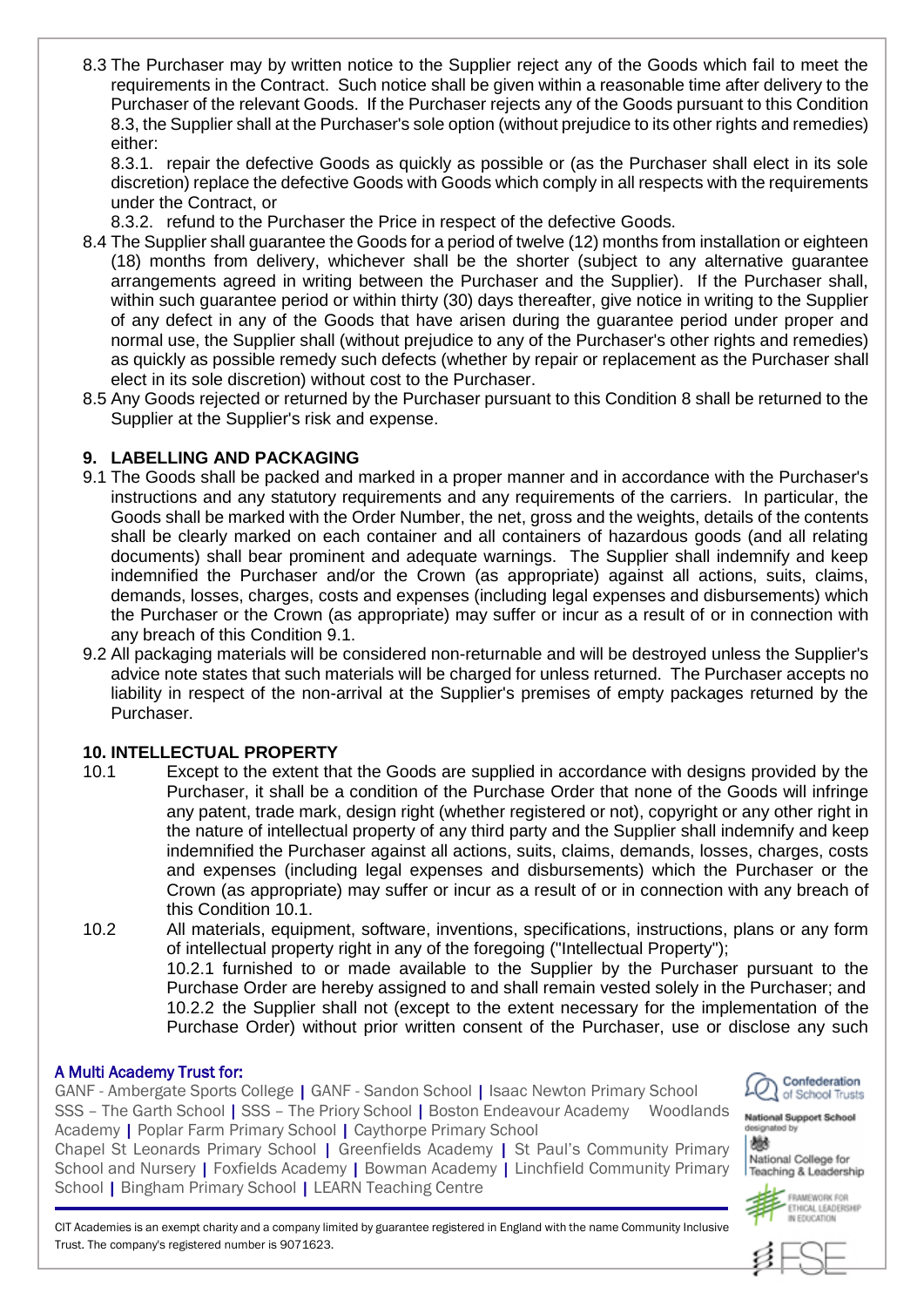8.3 The Purchaser may by written notice to the Supplier reject any of the Goods which fail to meet the requirements in the Contract. Such notice shall be given within a reasonable time after delivery to the Purchaser of the relevant Goods. If the Purchaser rejects any of the Goods pursuant to this Condition 8.3, the Supplier shall at the Purchaser's sole option (without prejudice to its other rights and remedies) either:

8.3.1. repair the defective Goods as quickly as possible or (as the Purchaser shall elect in its sole discretion) replace the defective Goods with Goods which comply in all respects with the requirements under the Contract, or

8.3.2. refund to the Purchaser the Price in respect of the defective Goods.

- 8.4 The Supplier shall guarantee the Goods for a period of twelve (12) months from installation or eighteen (18) months from delivery, whichever shall be the shorter (subject to any alternative guarantee arrangements agreed in writing between the Purchaser and the Supplier). If the Purchaser shall, within such guarantee period or within thirty (30) days thereafter, give notice in writing to the Supplier of any defect in any of the Goods that have arisen during the guarantee period under proper and normal use, the Supplier shall (without prejudice to any of the Purchaser's other rights and remedies) as quickly as possible remedy such defects (whether by repair or replacement as the Purchaser shall elect in its sole discretion) without cost to the Purchaser.
- 8.5 Any Goods rejected or returned by the Purchaser pursuant to this Condition 8 shall be returned to the Supplier at the Supplier's risk and expense.

## **9. LABELLING AND PACKAGING**

- 9.1 The Goods shall be packed and marked in a proper manner and in accordance with the Purchaser's instructions and any statutory requirements and any requirements of the carriers. In particular, the Goods shall be marked with the Order Number, the net, gross and the weights, details of the contents shall be clearly marked on each container and all containers of hazardous goods (and all relating documents) shall bear prominent and adequate warnings. The Supplier shall indemnify and keep indemnified the Purchaser and/or the Crown (as appropriate) against all actions, suits, claims, demands, losses, charges, costs and expenses (including legal expenses and disbursements) which the Purchaser or the Crown (as appropriate) may suffer or incur as a result of or in connection with any breach of this Condition 9.1.
- 9.2 All packaging materials will be considered non-returnable and will be destroyed unless the Supplier's advice note states that such materials will be charged for unless returned. The Purchaser accepts no liability in respect of the non-arrival at the Supplier's premises of empty packages returned by the Purchaser.

# **10. INTELLECTUAL PROPERTY**

- 10.1 Except to the extent that the Goods are supplied in accordance with designs provided by the Purchaser, it shall be a condition of the Purchase Order that none of the Goods will infringe any patent, trade mark, design right (whether registered or not), copyright or any other right in the nature of intellectual property of any third party and the Supplier shall indemnify and keep indemnified the Purchaser against all actions, suits, claims, demands, losses, charges, costs and expenses (including legal expenses and disbursements) which the Purchaser or the Crown (as appropriate) may suffer or incur as a result of or in connection with any breach of this Condition 10.1.
- 10.2 All materials, equipment, software, inventions, specifications, instructions, plans or any form of intellectual property right in any of the foregoing ("Intellectual Property");

10.2.1 furnished to or made available to the Supplier by the Purchaser pursuant to the Purchase Order are hereby assigned to and shall remain vested solely in the Purchaser; and 10.2.2 the Supplier shall not (except to the extent necessary for the implementation of the Purchase Order) without prior written consent of the Purchaser, use or disclose any such

## A Multi Academy Trust for:

GANF - Ambergate Sports College | GANF - Sandon School | Isaac Newton Primary School SSS – The Garth School | SSS – The Priory School | Boston Endeavour Academy Woodlands Academy | Poplar Farm Primary School | Caythorpe Primary School

Chapel St Leonards Primary School | Greenfields Academy | St Paul's Community Primary School and Nursery | Foxfields Academy | Bowman Academy | Linchfield Community Primary School | Bingham Primary School | LEARN Teaching Centre



**National Support School** ignated by 鬱 National College for



IN FOUCATION

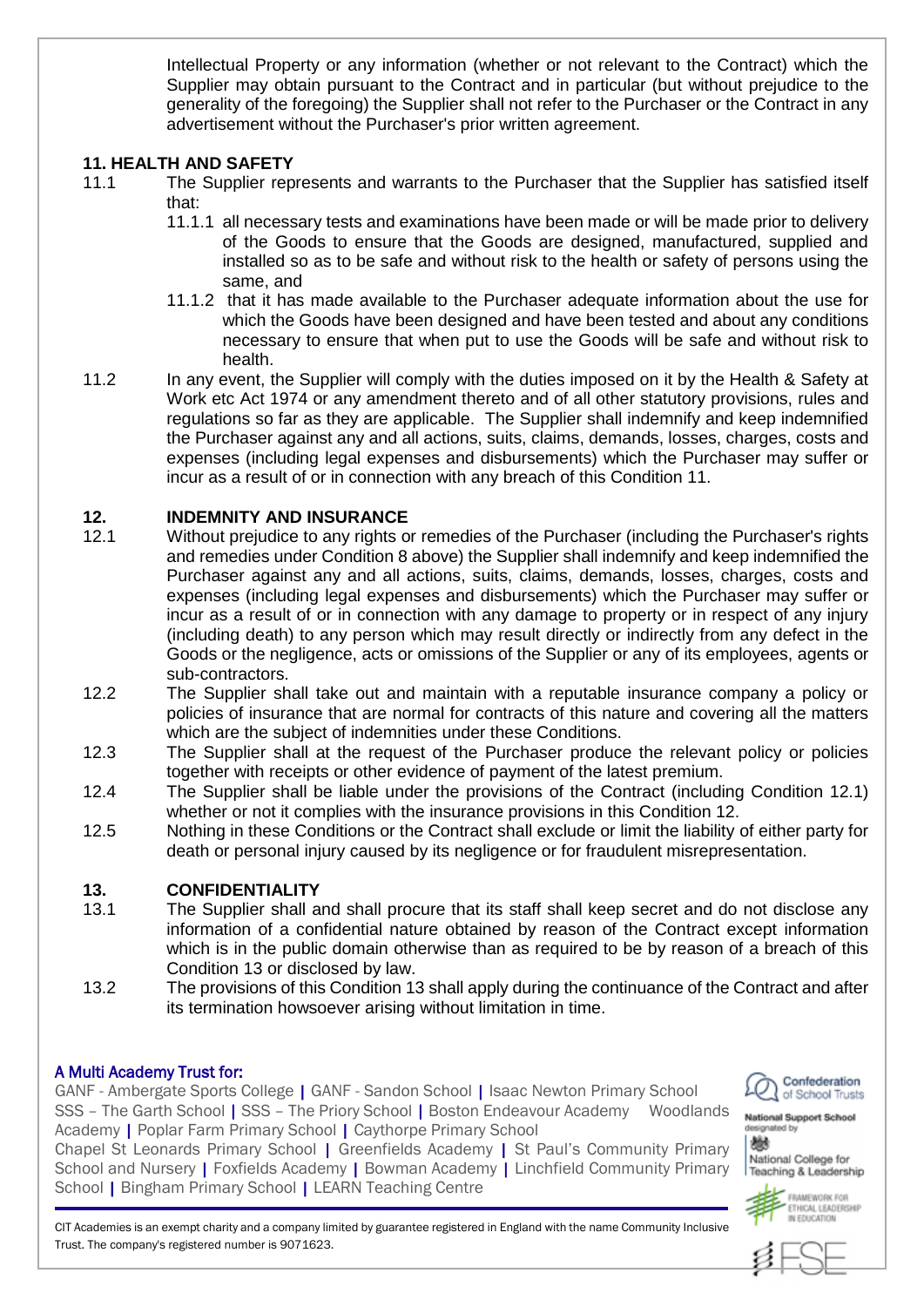Intellectual Property or any information (whether or not relevant to the Contract) which the Supplier may obtain pursuant to the Contract and in particular (but without prejudice to the generality of the foregoing) the Supplier shall not refer to the Purchaser or the Contract in any advertisement without the Purchaser's prior written agreement.

#### **11. HEALTH AND SAFETY**

- 11.1 The Supplier represents and warrants to the Purchaser that the Supplier has satisfied itself that:
	- 11.1.1 all necessary tests and examinations have been made or will be made prior to delivery of the Goods to ensure that the Goods are designed, manufactured, supplied and installed so as to be safe and without risk to the health or safety of persons using the same, and
	- 11.1.2 that it has made available to the Purchaser adequate information about the use for which the Goods have been designed and have been tested and about any conditions necessary to ensure that when put to use the Goods will be safe and without risk to health.
- 11.2 In any event, the Supplier will comply with the duties imposed on it by the Health & Safety at Work etc Act 1974 or any amendment thereto and of all other statutory provisions, rules and regulations so far as they are applicable. The Supplier shall indemnify and keep indemnified the Purchaser against any and all actions, suits, claims, demands, losses, charges, costs and expenses (including legal expenses and disbursements) which the Purchaser may suffer or incur as a result of or in connection with any breach of this Condition 11.

### **12. INDEMNITY AND INSURANCE**

- 12.1 Without prejudice to any rights or remedies of the Purchaser (including the Purchaser's rights and remedies under Condition 8 above) the Supplier shall indemnify and keep indemnified the Purchaser against any and all actions, suits, claims, demands, losses, charges, costs and expenses (including legal expenses and disbursements) which the Purchaser may suffer or incur as a result of or in connection with any damage to property or in respect of any injury (including death) to any person which may result directly or indirectly from any defect in the Goods or the negligence, acts or omissions of the Supplier or any of its employees, agents or sub-contractors.
- 12.2 The Supplier shall take out and maintain with a reputable insurance company a policy or policies of insurance that are normal for contracts of this nature and covering all the matters which are the subject of indemnities under these Conditions.
- 12.3 The Supplier shall at the request of the Purchaser produce the relevant policy or policies together with receipts or other evidence of payment of the latest premium.
- 12.4 The Supplier shall be liable under the provisions of the Contract (including Condition 12.1) whether or not it complies with the insurance provisions in this Condition 12.
- 12.5 Nothing in these Conditions or the Contract shall exclude or limit the liability of either party for death or personal injury caused by its negligence or for fraudulent misrepresentation.

#### **13. CONFIDENTIALITY**

- 13.1 The Supplier shall and shall procure that its staff shall keep secret and do not disclose any information of a confidential nature obtained by reason of the Contract except information which is in the public domain otherwise than as required to be by reason of a breach of this Condition 13 or disclosed by law.
- 13.2 The provisions of this Condition 13 shall apply during the continuance of the Contract and after its termination howsoever arising without limitation in time.

#### A Multi Academy Trust for:

L

GANF - Ambergate Sports College | GANF - Sandon School | Isaac Newton Primary School SSS – The Garth School | SSS – The Priory School | Boston Endeavour Academy Woodlands Academy | Poplar Farm Primary School | Caythorpe Primary School

Chapel St Leonards Primary School | Greenfields Academy | St Paul's Community Primary School and Nursery | Foxfields Academy | Bowman Academy | Linchfield Community Primary School | Bingham Primary School | LEARN Teaching Centre



**National Support School** 鬱



FRAMEWORK FOR ETHICAL LEADERSHIP IN FOUCATION

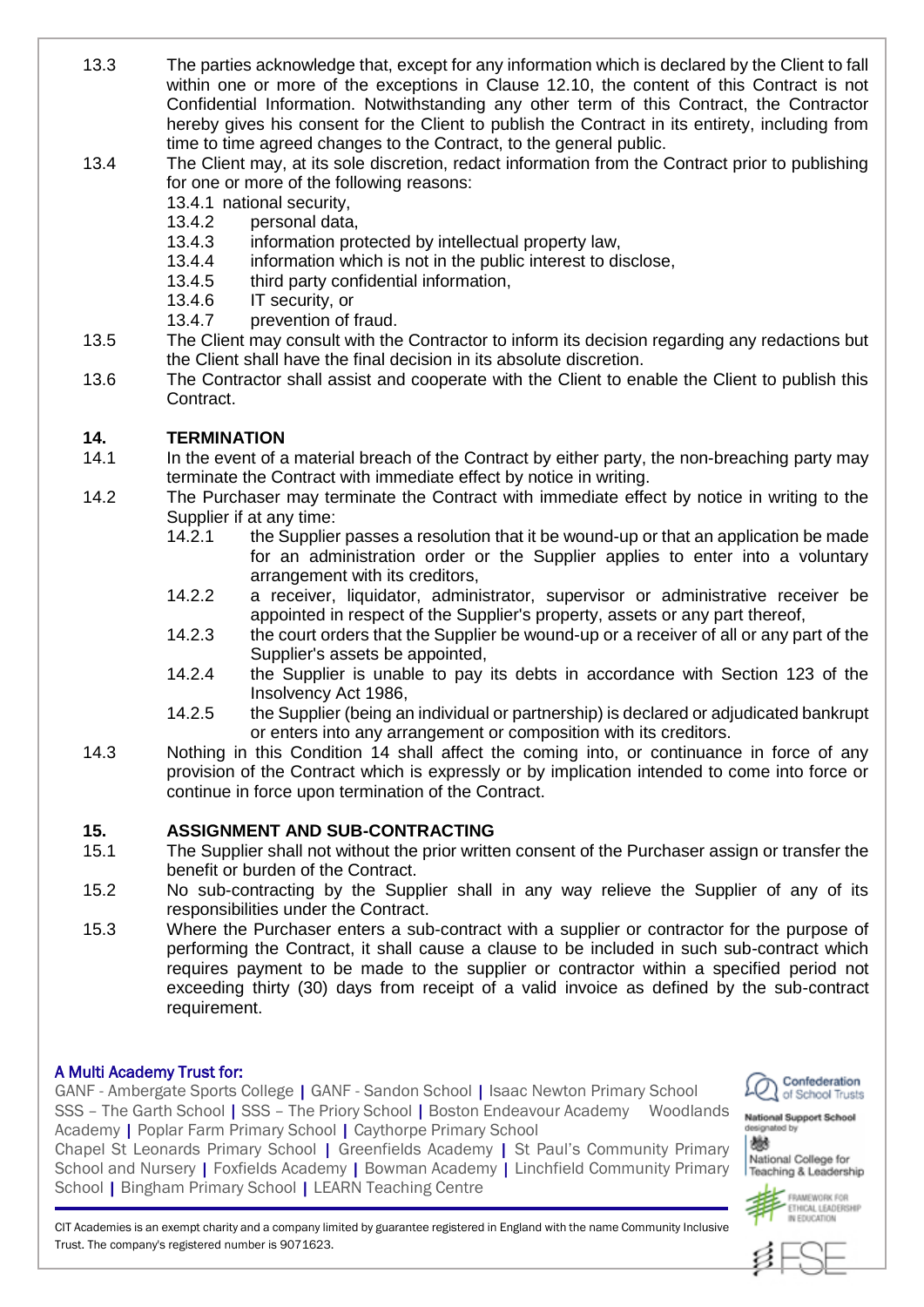13.3 The parties acknowledge that, except for any information which is declared by the Client to fall within one or more of the exceptions in Clause 12.10, the content of this Contract is not Confidential Information. Notwithstanding any other term of this Contract, the Contractor hereby gives his consent for the Client to publish the Contract in its entirety, including from time to time agreed changes to the Contract, to the general public.

## 13.4 The Client may, at its sole discretion, redact information from the Contract prior to publishing for one or more of the following reasons:

- 13.4.1 national security,
- 13.4.2 personal data,
- 13.4.3 information protected by intellectual property law,
- 13.4.4 information which is not in the public interest to disclose,
- 13.4.5 third party confidential information,
- 13.4.6 IT security, or
- 13.4.7 prevention of fraud.
- 13.5 The Client may consult with the Contractor to inform its decision regarding any redactions but the Client shall have the final decision in its absolute discretion.
- 13.6 The Contractor shall assist and cooperate with the Client to enable the Client to publish this Contract.

### **14. TERMINATION**

- 14.1 In the event of a material breach of the Contract by either party, the non-breaching party may terminate the Contract with immediate effect by notice in writing.
- 14.2 The Purchaser may terminate the Contract with immediate effect by notice in writing to the Supplier if at any time:
	- 14.2.1 the Supplier passes a resolution that it be wound-up or that an application be made for an administration order or the Supplier applies to enter into a voluntary arrangement with its creditors,
	- 14.2.2 a receiver, liquidator, administrator, supervisor or administrative receiver be appointed in respect of the Supplier's property, assets or any part thereof,
	- 14.2.3 the court orders that the Supplier be wound-up or a receiver of all or any part of the Supplier's assets be appointed,
	- 14.2.4 the Supplier is unable to pay its debts in accordance with Section 123 of the Insolvency Act 1986,
	- 14.2.5 the Supplier (being an individual or partnership) is declared or adjudicated bankrupt or enters into any arrangement or composition with its creditors.
- 14.3 Nothing in this Condition 14 shall affect the coming into, or continuance in force of any provision of the Contract which is expressly or by implication intended to come into force or continue in force upon termination of the Contract.

## **15. ASSIGNMENT AND SUB-CONTRACTING**

- 15.1 The Supplier shall not without the prior written consent of the Purchaser assign or transfer the benefit or burden of the Contract.
- 15.2 No sub-contracting by the Supplier shall in any way relieve the Supplier of any of its responsibilities under the Contract.
- 15.3 Where the Purchaser enters a sub-contract with a supplier or contractor for the purpose of performing the Contract, it shall cause a clause to be included in such sub-contract which requires payment to be made to the supplier or contractor within a specified period not exceeding thirty (30) days from receipt of a valid invoice as defined by the sub-contract requirement.

#### A Multi Academy Trust for:

L

GANF - Ambergate Sports College | GANF - Sandon School | Isaac Newton Primary School SSS – The Garth School | SSS – The Priory School | Boston Endeavour Academy Woodlands Academy | Poplar Farm Primary School | Caythorpe Primary School

Chapel St Leonards Primary School | Greenfields Academy | St Paul's Community Primary School and Nursery | Foxfields Academy | Bowman Academy | Linchfield Community Primary School | Bingham Primary School | LEARN Teaching Centre



ignated by 鬱 National College for Teaching & Leadership



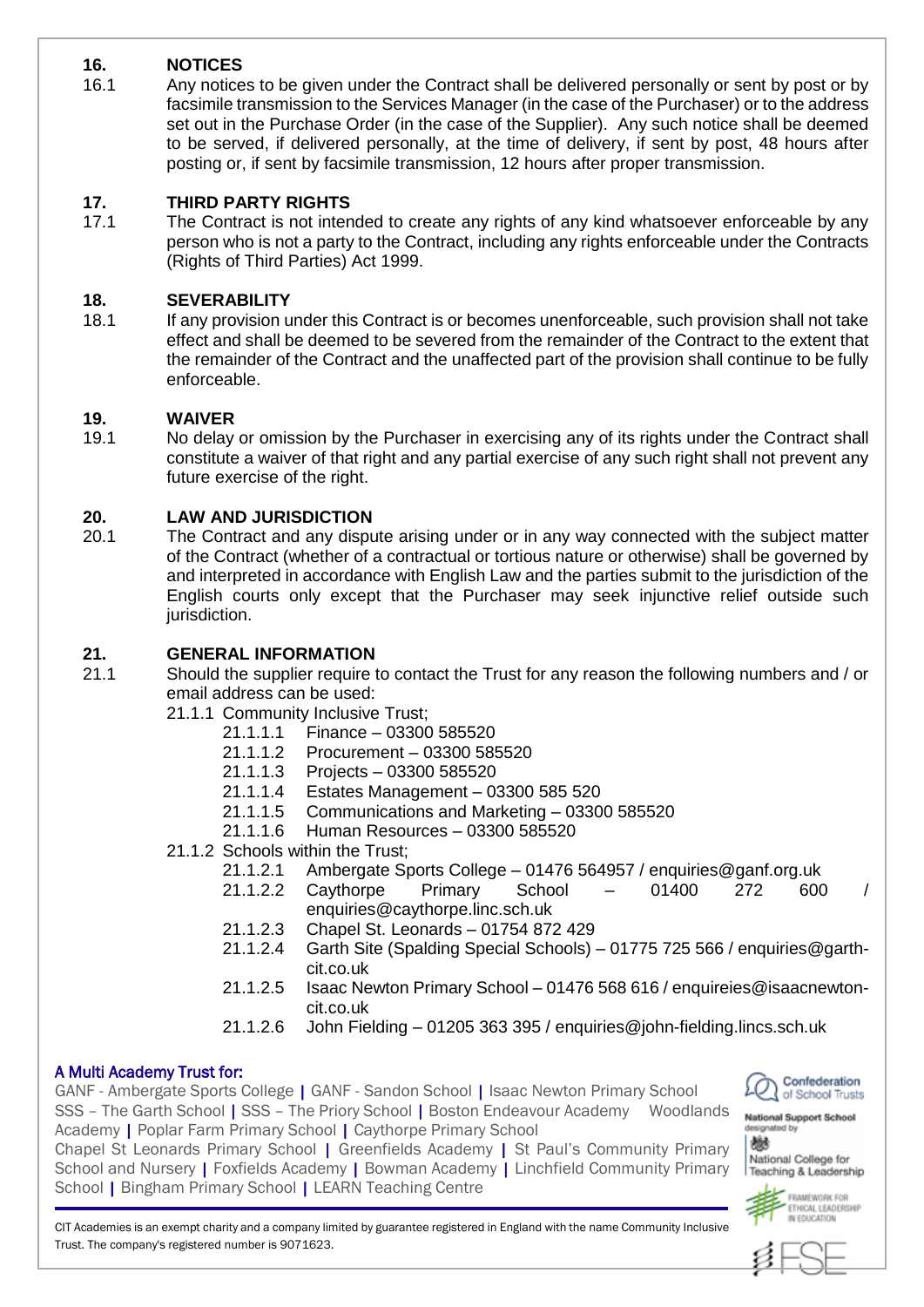# **16. NOTICES**

16.1 Any notices to be given under the Contract shall be delivered personally or sent by post or by facsimile transmission to the Services Manager (in the case of the Purchaser) or to the address set out in the Purchase Order (in the case of the Supplier). Any such notice shall be deemed to be served, if delivered personally, at the time of delivery, if sent by post, 48 hours after posting or, if sent by facsimile transmission, 12 hours after proper transmission.

## **17. THIRD PARTY RIGHTS**

17.1 The Contract is not intended to create any rights of any kind whatsoever enforceable by any person who is not a party to the Contract, including any rights enforceable under the Contracts (Rights of Third Parties) Act 1999.

## **18. SEVERABILITY**

18.1 If any provision under this Contract is or becomes unenforceable, such provision shall not take effect and shall be deemed to be severed from the remainder of the Contract to the extent that the remainder of the Contract and the unaffected part of the provision shall continue to be fully enforceable.

## **19. WAIVER**

19.1 No delay or omission by the Purchaser in exercising any of its rights under the Contract shall constitute a waiver of that right and any partial exercise of any such right shall not prevent any future exercise of the right.

# **20. LAW AND JURISDICTION**

20.1 The Contract and any dispute arising under or in any way connected with the subject matter of the Contract (whether of a contractual or tortious nature or otherwise) shall be governed by and interpreted in accordance with English Law and the parties submit to the jurisdiction of the English courts only except that the Purchaser may seek injunctive relief outside such jurisdiction.

## **21. GENERAL INFORMATION**

- 21.1 Should the supplier require to contact the Trust for any reason the following numbers and / or email address can be used:
	- 21.1.1 Community Inclusive Trust;
		- 21.1.1.1 Finance 03300 585520
		- 21.1.1.2 Procurement 03300 585520
		- 21.1.1.3 Projects 03300 585520
		- 21.1.1.4 Estates Management 03300 585 520
		- 21.1.1.5 Communications and Marketing 03300 585520
		- 21.1.1.6 Human Resources 03300 585520
	- 21.1.2 Schools within the Trust;
		- 21.1.2.1 Ambergate Sports College 01476 564957 / enquiries@ganf.org.uk
		- 21.1.2.2 Caythorpe Primary School 01400 272 600 / enquiries@caythorpe.linc.sch.uk
		- 21.1.2.3 Chapel St. Leonards 01754 872 429
		- 21.1.2.4 Garth Site (Spalding Special Schools) 01775 725 566 / enquiries@garthcit.co.uk
		- 21.1.2.5 Isaac Newton Primary School 01476 568 616 / enquireies@isaacnewtoncit.co.uk
		- 21.1.2.6 John Fielding 01205 363 395 / enquiries@john-fielding.lincs.sch.uk

## A Multi Academy Trust for:

GANF - Ambergate Sports College | GANF - Sandon School | Isaac Newton Primary School SSS – The Garth School | SSS – The Priory School | Boston Endeavour Academy Woodlands Academy | Poplar Farm Primary School | Caythorpe Primary School Chapel St Leonards Primary School | Greenfields Academy | St Paul's Community Primary

School and Nursery | Foxfields Academy | Bowman Academy | Linchfield Community Primary School | Bingham Primary School | LEARN Teaching Centre



**National Support School** signated by 鬱

National College for Teaching & Leadership